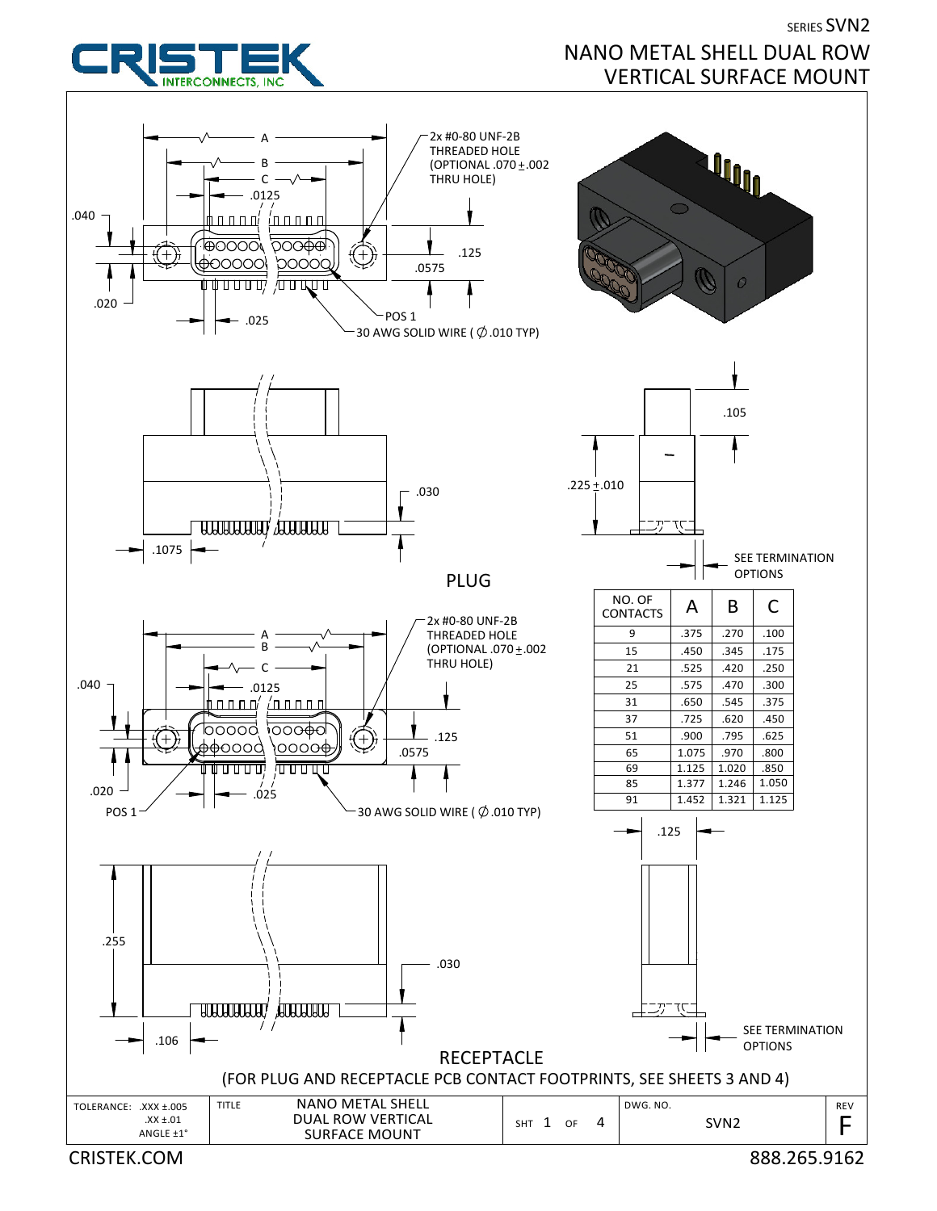

## SERIES SVN2 NANO METAL SHELL DUAL ROW VERTICAL SURFACE MOUNT

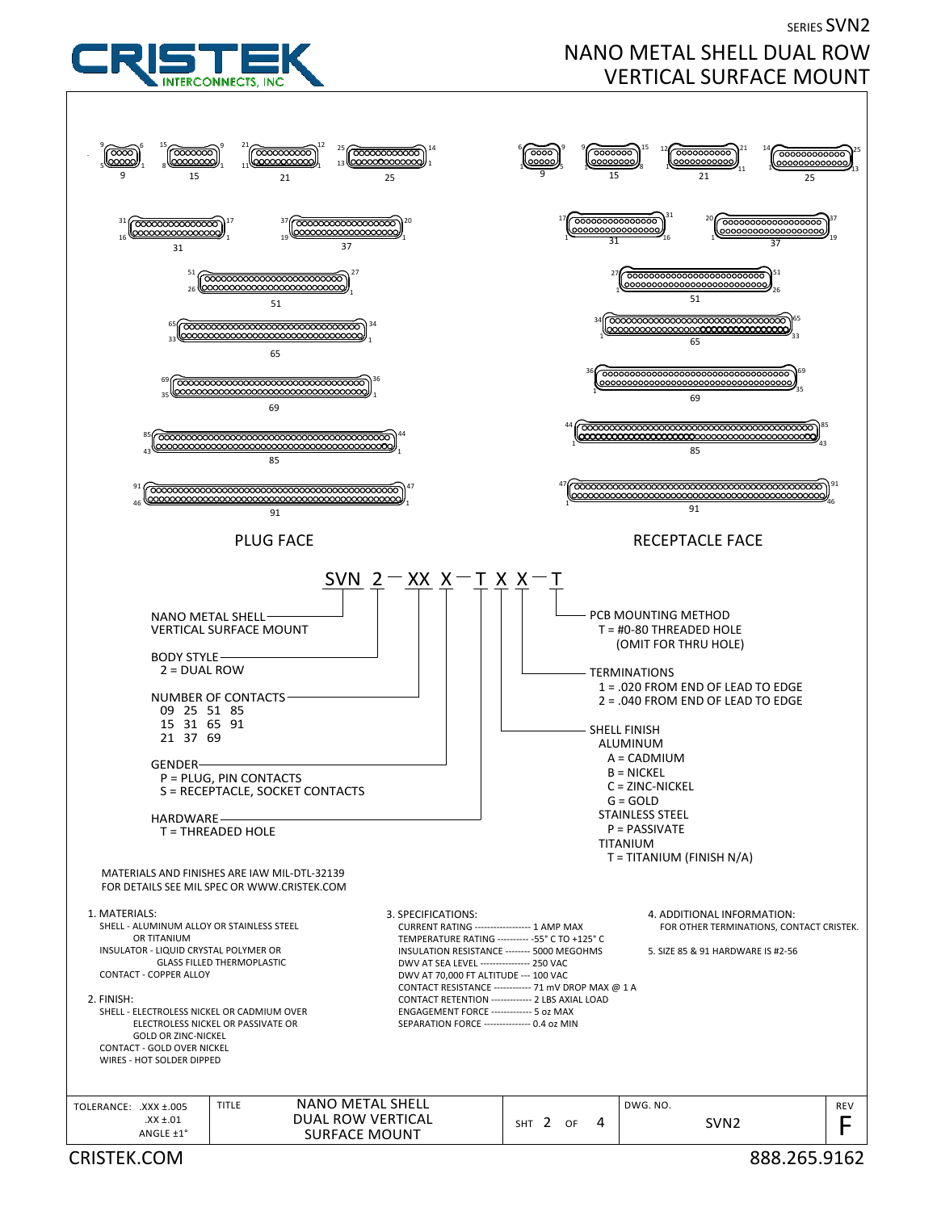## SERIES SVN2 NANO METAL SHELL DUAL ROW VERTICAL SURFACE MOUNT



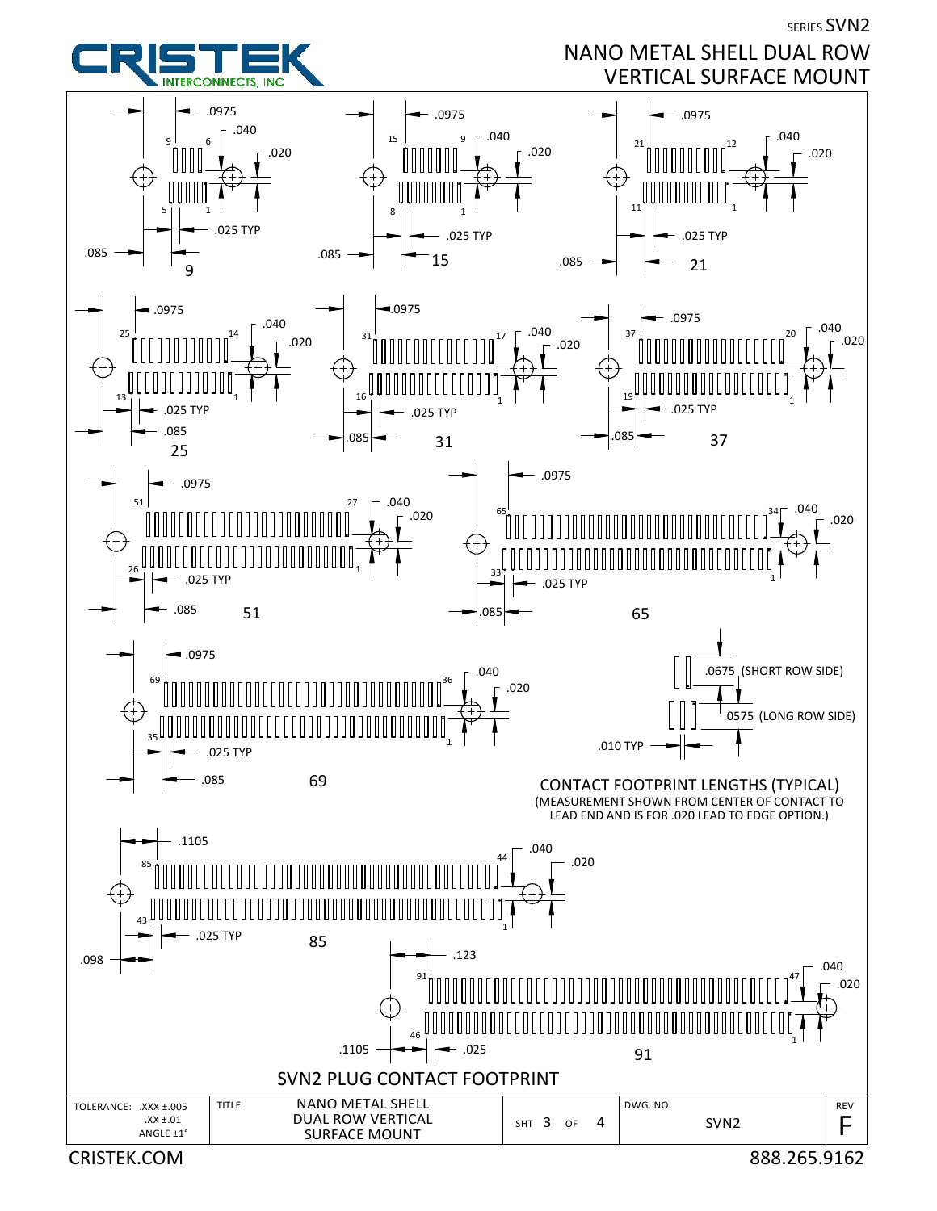SERIES SVN2



NANO METAL SHELL DUAL ROW VERTICAL SURFACE MOUNT